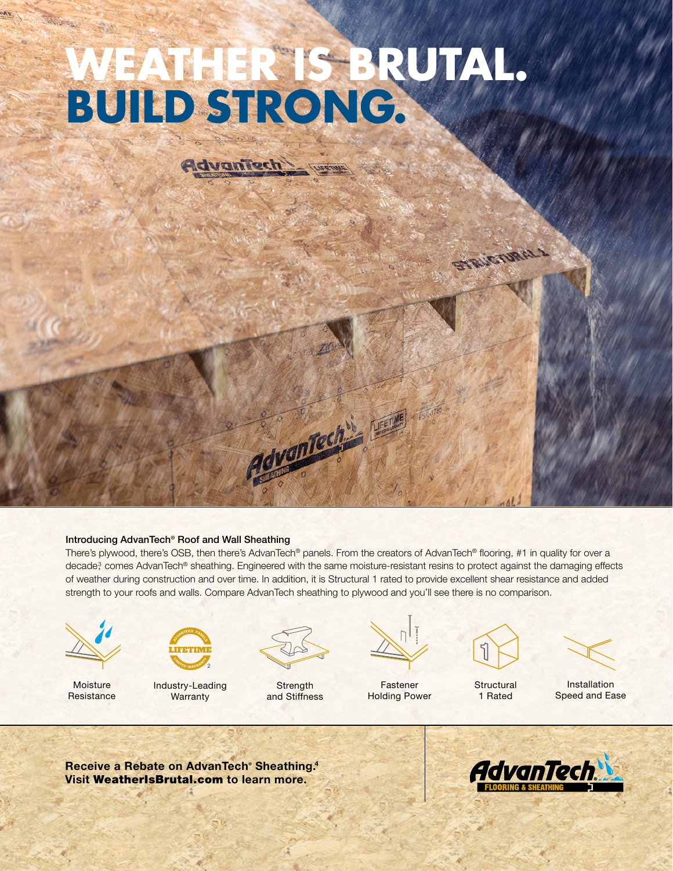# **WEATHER IS BRUTAL. BUILD STRONG.**

Advantech

#### Introducing AdvanTech® Roof and Wall Sheathing

There's plywood, there's OSB, then there's AdvanTech® panels. From the creators of AdvanTech® flooring, #1 in quality for over a decade<sup>3</sup> comes AdvanTech® sheathing. Engineered with the same moisture-resistant resins to protect against the damaging effects of weather during construction and over time. In addition, it is Structural 1 rated to provide excellent shear resistance and added strength to your roofs and walls. Compare AdvanTech sheathing to plywood and you'll see there is no comparison.

Advantach"



**Moisture Resistance** 



Industry-Leading **Warranty** 



**Strength** and Stiffness



Fastener Holding Power



STRUCTURAL 1

**Structural** 1 Rated

Installation Speed and Ease

Receive a Rebate on AdvanTech<sup>®</sup> Sheathing.<sup>4</sup> Visit WeatherIsBrutal.com to learn more.